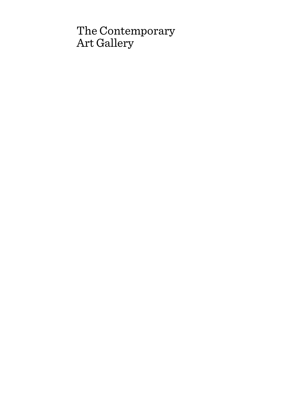# The Contemporary Art Gallery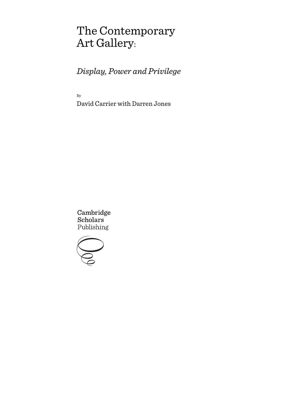# The Contemporary Art Gallery:

*Display, Power and Privilege*

By

David Carrier with Darren Jones

Cambridge **Scholars** Publishing

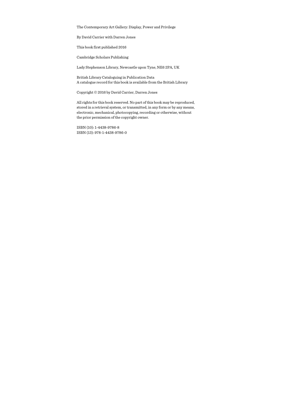The Contemporary Art Gallery: Display, Power and Privilege

By David Carrier with Darren Jones

This book first published 2016

Cambridge Scholars Publishing

Lady Stephenson Library, Newcastle upon Tyne, NE6 2PA, UK

British Library Cataloguing in Publication Data A catalogue record for this book is available from the British Library

Copyright © 2016 by David Carrier, Darren Jones

All rights for this book reserved. No part of this book may be reproduced, stored in a retrieval system, or transmitted, in any form or by any means, electronic, mechanical, photocopying, recording or otherwise, without the prior permission of the copyright owner.

ISBN (10): 1-4438-9786-8 ISBN (13): 978-1-4438-9786-0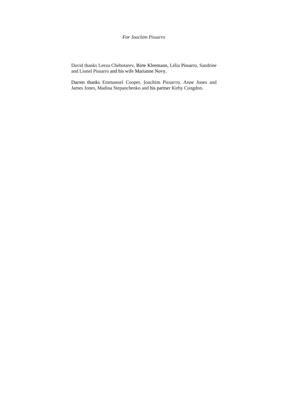### *For Joachim Pissarro*

David thanks Leeza Chebotarev, Birte Kleemann, Lélia Pissarro, Sandrine and Lionel Pissarro and his wife Marianne Novy.

Darren thanks Emmanuel Cooper, Joachim Pissarro, Anne Jones and James Jones, Madina Stepanchenko and his partner Kirby Congdon.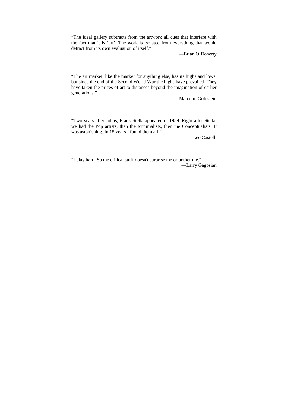"The ideal gallery subtracts from the artwork all cues that interfere with the fact that it is 'art'. The work is isolated from everything that would detract from its own evaluation of itself."

—Brian O'Doherty

"The art market, like the market for anything else, has its highs and lows, but since the end of the Second World War the highs have prevailed. They have taken the prices of art to distances beyond the imagination of earlier generations."

—Malcolm Goldstein

"Two years after Johns, Frank Stella appeared in 1959. Right after Stella, we had the Pop artists, then the Minimalists, then the Conceptualists. It was astonishing. In 15 years I found them all."

—Leo Castelli

"I play hard. So the critical stuff doesn't surprise me or bother me." —Larry Gagosian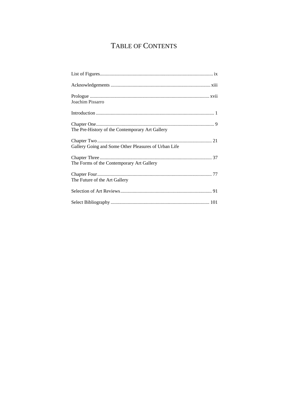## TABLE OF CONTENTS

| Joachim Pissarro                                     |  |
|------------------------------------------------------|--|
|                                                      |  |
| The Pre-History of the Contemporary Art Gallery      |  |
| Gallery Going and Some Other Pleasures of Urban Life |  |
| The Forms of the Contemporary Art Gallery            |  |
| The Future of the Art Gallery                        |  |
|                                                      |  |
|                                                      |  |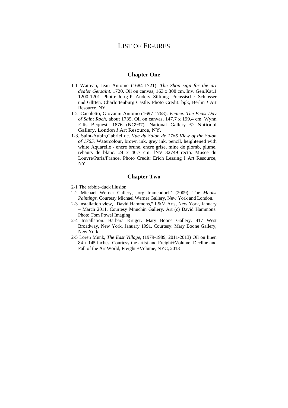## LIST OF FIGURES

#### **Chapter One**

- 1-1 Watteau, Jean Antoine (1684-1721). *The Shop sign for the art dealer Gersaint*. 1720. Oil on canvas, 163 x 308 cm. Inv. Gen.Kat.1 1200-1201. Photo: Jcirg P. Anders. Stiftung Preussische Schlosser und Gllrten. Charlottenburg Castle. Photo Credit: bpk, Berlin *I* Art Resource, NY.
- 1-2 Canaletto, Giovanni Antonio (1697-1768). *Venice: The Feast Day of Saint Roch*, about 1735. Oil on canvas, 147.7 x 199.4 cm. Wynn Ellis Bequest, 1876 (NG937). National Gallery © National Gallery, London *I* Art Resource, NY.
- 1-3. Saint-Aubin,Gabriel de. *Vue du Salon de 1765 View of the Salon of 1765.* Watercolour, brown ink, grey ink, pencil, heightened with white Aquarelle - encre brune, encre grise, mine de plomb, plume, rehauts de blanc. 24 x 46,7 cm. fNV 32749 recto. Musee du Louvre/Paris/France. Photo Credit: Erich Lessing I Art Resource, NY.

#### **Chapter Two**

- 2-1 The rabbit–duck illusion.
- 2-2 Michael Werner Gallery, Jorg Immendorff' (2009). The *Maoist Paintings.* Courtesy Michael Werner Gallery, New York and London.
- 2-3 Installation view, "David Hammons," L&M Arts, New York, January – March 2011. Courtesy Mnuchin Gallery. Art (c) David Hammons. Photo Tom Powel Imaging.
- 2-4 Installation: Barbara Kruger. Mary Boone Gallery. 417 West Broadway, New York. January 1991. Courtesy: Mary Boone Gallery, New York.
- 2-5 Loren Munk, *The East Village*, (1979-1989, 2011-2013) Oil on linen 84 x 145 inches. Courtesy the artist and Freight+Volume. Decline and Fall of the Art World, Freight +Volume, NYC, 2013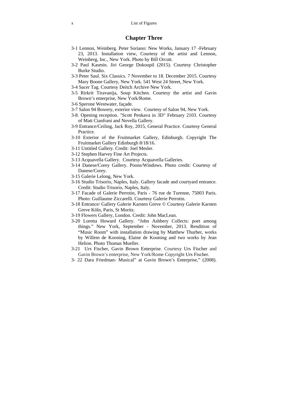### **Chapter Three**

- 3-1 Lennon, Weinberg. Peter Soriano: New Works, January 17 -February 23, 2013. Installation view, Courtesy of the artist and Lennon, Weinberg, Inc., New York. Photo by Bill Orcutt.
- 3-2 Paul Kasmin. Jiri George Dokoupil (2015). Courtesy Christopher Burke Studio.
- 3-3 Peter Saul. Six Classics. 7 November to 18. December 2015. Courtesy Mary Boone Gallery, New York. 541 West 24 Street, New York.
- 3-4 Sacer Tag. Courtesy Deitch Archive New York.
- 3-5 Rirkrit Tiravanija, Soup Kitchen. Courtesy the artist and Gavin Brown's enterprise, New York/Rome.
- 3-6 Sperone Westwater, façade.
- 3-7 Salon 94 Bowery, exterior view. Courtesy of Salon 94, New York.
- 3-8. Opening reception. "Scott Penkava in 3D" February 2103. Courtesy of Matt Cianfrani and Novella Gallery.
- 3-9 Entrance/Ceiling, Jack Roy, 2015, General Practice. Courtesy General **Practice**
- 3-10 Exterior of the Fruitmarket Gallery, Edinburgh. Copyright The Fruitmarket Gallery Edinburgh 8/18/16.
- 3-11 Untitled Gallery. Credit: Joel Mesler.
- 3-12 Stephen Harvey Fine Art Projects.
- 3-13 Acquavella Gallery. Courtesy Acquavella Galleries.
- 3-14 Danese/Corey Gallery. Poons/Windows. Photo credit: Courtesy of Danese/Corey.
- 3-15 Galerie Lelong, New York.
- 3-16 Studio Trisorio, Naples, Italy. Gallery facade and courtyard entrance. Credit: Studio Trisorio, Naples, Italy.
- 3-17 Facade of Galerie Perrotin, Paris 76 rue de Turenne, 75003 Paris. Photo: Guillaume Ziccarelli. Courtesy Galerie Perrotin.
- 3-18 Entrance/ Gallery Galerie Karsten Greve © Courtesy Galerie Karsten Greve Köln, Paris, St Moritz.
- 3-19 Flowers Gallery, London. Credit: John MacLean.
- 3-20 Loretta Howard Gallery. "John Ashbery Collects: poet among things." New York, September - November, 2013. Rendition of "Music Room" with installation drawing by Matthew Thurber, works by Willem de Kooning, Elaine de Kooning and two works by Jean Helion. Photo Thomas Mueller.
- 3-21 Urs Fischer, Gavin Brown Enterprise. Courtesy Urs Fischer and Gavin Brown's enterprise, New York/Rome Copyright Urs Fischer.
- 3- 22 Dara Friedman- Musical" at Gavin Brown's Enterprise," (2008).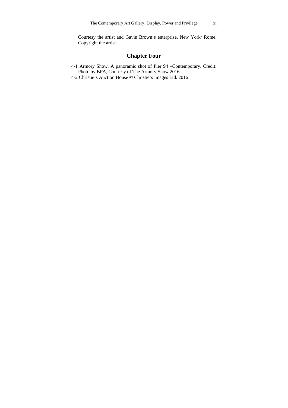Courtesy the artist and Gavin Brown's enterprise, New York/ Rome. Copyright the artist.

## **Chapter Four**

- 4-1 Armory Show. A panoramic shot of Pier 94 –Contemporary. Credit: Photo by BFA, Courtesy of The Armory Show 2016.
- 4-2 Christie's Auction House © Christie's Images Ltd. 2016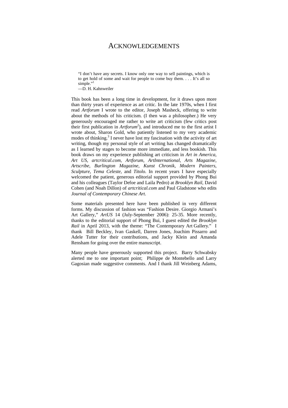## ACKNOWLEDGEMENTS

"I don't have any secrets. I know only one way to sell paintings, which is to get hold of some and wait for people to come buy them. . . . It's all so simple."<sup>1</sup>

 $\overline{-D}$  H. Kahnweiler

This book has been a long time in development, for it draws upon more than thirty years of experience as art critic. In the late 1970s, when I first read *Artforum* I wrote to the editor, Joseph Masheck, offering to write about the methods of his criticism. (I then was a philosopher.) He very generously encouraged me rather to write art criticism (few critics post their first publication in *Artforum*<sup>2</sup>), and introduced me to the first artist I wrote about, Sharon Gold, who patiently listened to my very academic modes of thinking.<sup>3</sup> I never have lost my fascination with the activity of art writing, though my personal style of art writing has changed dramatically as I learned by stages to become more immediate, and less bookish. This book draws on my experience publishing art criticism in *Art in America*, *Art US*, *artcritical.com*, *Artforum*, *ArtInternational*, *Arts Magazine*, *Artscribe*, *Burlington Magazine, Kunst Chronik*, *Modern Painters*, *Sculpture*, *Tema Celeste,* and *Titolo.* In recent years I have especially welcomed the patient, generous editorial support provided by Phong Bui and his colleagues (Taylor Defoe and Laila Pedro) at *Brooklyn Rail*, David Cohen (and Noah Dillon) of *artcritical.com* and Paul Gladstone who edits *Journal of Contemporary Chinese Art*.

Some materials presented here have been published in very different forms. My discussion of fashion was "Fashion Desire. Giorgio Armani's Art Gallery," *ArtUS* 14 (July-September 2006): 25-35. More recently, thanks to the editorial support of Phong Bui, I guest edited the *Brooklyn Rail* in April 2013, with the theme: "The Contemporary Art Gallery." I thank Bill Beckley, Ivan Gaskell, Darren Jones, Joachim Pissarro and Adele Tutter for their contributions, and Jacky Klein and Amanda Rensham for going over the entire manuscript.

Many people have generously supported this project. Barry Schwabsky alerted me to one important point; Philippe de Montebello and Larry Gagosian made suggestive comments. And I thank Jill Weinberg Adams,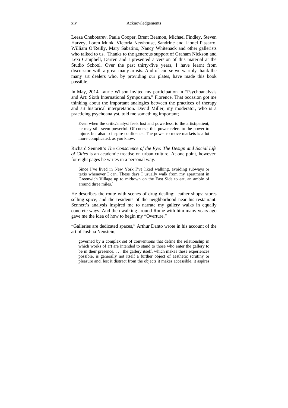Leeza Chebotarev, Paula Cooper, Brent Beamon, Michael Findley, Steven Harvey, Loren Munk, Victoria Newhouse, Sandrine and Lionel Pissarro, William O'Reilly, Mary Sabatino, Nancy Whitenack and other gallerists who talked to us. Thanks to the generous support of Graham Nickson and Lexi Campbell, Darren and I presented a version of this material at the Studio School. Over the past thirty-five years, I have learnt from discussion with a great many artists. And of course we warmly thank the many art dealers who, by providing our plates, have made this book possible.

In May, 2014 Laurie Wilson invited my participation in "Psychoanalysis and Art: Sixth International Symposium," Florence. That occasion got me thinking about the important analogies between the practices of therapy and art historical interpretation. David Miller, my moderator, who is a practicing psychoanalyst, told me something important;

Even when the critic/analyst feels lost and powerless, to the artist/patient, he may still seem powerful. Of course, this power refers to the power to injure, but also to inspire confidence. The power to move markets is a lot more complicated, as you know.

Richard Sennett's *The Conscience of the Eye: The Design and Social Life of Cities* is an academic treatise on urban culture. At one point, however, for eight pages he writes in a personal way.

Since I've lived in New York I've liked walking, avoiding subways or taxis whenever I can. These days I usually walk from my apartment in Greenwich Village up to midtown on the East Side to eat, an amble of around three miles.<sup>4</sup>

He describes the route with scenes of drug dealing; leather shops; stores selling spice; and the residents of the neighborhood near his restaurant. Sennett's analysis inspired me to narrate my gallery walks in equally concrete ways. And then walking around Rome with him many years ago gave me the idea of how to begin my "Overture."

"Galleries are dedicated spaces," Arthur Danto wrote in his account of the art of Joshua Neustein,

governed by a complex set of conventions that define the relationship in which works of art are intended to stand to those who enter the gallery to be in their presence. . . . the gallery itself, which makes these experiences possible, is generally not itself a further object of aesthetic scrutiny or pleasure and, lest it distract from the objects it makes accessible, it aspires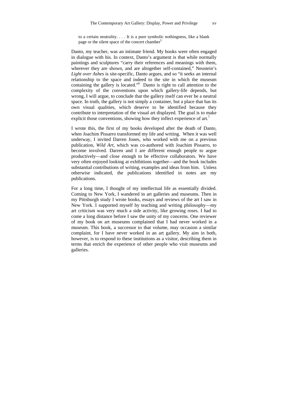to a certain neutrality. . . . It is a pure symbolic nothingness, like a blank page or the silent space of the concert chamber<sup>5</sup>

Danto, my teacher, was an intimate friend. My books were often engaged in dialogue with his. In context, Danto's argument is that while normally paintings and sculptures "carry their references and meanings with them, wherever they are shown, and are altogether self-contained," Neustein's *Light over Ashes* is site-specific, Danto argues, and so "it seeks an internal relationship to the space and indeed to the site in which the museum containing the gallery is located."6 Danto is right to call attention to the complexity of the conventions upon which gallery-life depends, but wrong, I will argue, to conclude that the gallery itself can ever be a neutral space. In truth, the gallery is not simply a container, but a place that has its own visual qualities, which deserve to be identified because they contribute to interpretation of the visual art displayed. The goal is to make explicit those conventions, showing how they inflect experience of art.<sup>7</sup>

I wrote this, the first of my books developed after the death of Danto, when Joachim Pissarro transformed my life and writing. When it was well underway, I invited Darren Jones, who worked with me on a previous publication, *Wild Art*, which was co-authored with Joachim Pissarro, to become involved. Darren and I are different enough people to argue productively—and close enough to be effective collaborators. We have very often enjoyed looking at exhibitions together—and the book includes substantial contributions of writing, examples and ideas from him. Unless otherwise indicated, the publications identified in notes are my publications.

For a long time, I thought of my intellectual life as essentially divided. Coming to New York, I wandered in art galleries and museums. Then in my Pittsburgh study I wrote books, essays and reviews of the art I saw in New York. I supported myself by teaching and writing philosophy—my art criticism was very much a side activity, like growing roses. I had to come a long distance before I saw the unity of my concerns. One reviewer of my book on art museums complained that I had never worked in a museum. This book, a successor to that volume, may occasion a similar complaint, for I have never worked in an art gallery. My aim in both, however, is to respond to these institutions as a visitor, describing them in terms that enrich the experience of other people who visit museums and galleries.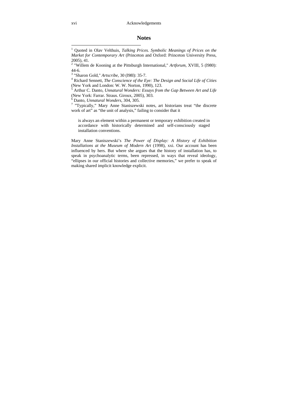### **Notes**

 Richard Sennett, *The Conscience of the Eye: The Design and Social Life of Cities*  (New York and London: W. W. Norton, 1990), 123.

5 Arthur C. Danto, *Unnatural Wonders: Essays from the Gap Between Art and Life*  (New York: Farrar. Straus. Giroux, 2005), 303.<br><sup>6</sup> Danto. *Unnatural Wonders*. 304. 305.

6

<sup>o</sup> Danto, *Unnatural Wonders*, 304, 305.<br><sup>7</sup> "Typically," Mary Anne Staniszewski notes, art historians treat "the discrete work of art" as "the unit of analysis," failing to consider that it

is always an element within a permanent or temporary exhibition created in accordance with historically determined and self-consciously staged installation conventions.

Mary Anne Staniszewski's *The Power of Display: A History of Exhibition Installations at the Museum of Modern Art* (1998), xxi. Our account has been influenced by hers. But where she argues that the history of installation has, to speak in psychoanalytic terms, been repressed, in ways that reveal ideology, "ellipses in our official histories and collective memories," we prefer to speak of making shared implicit knowledge explicit.

 1 Quoted in Olav Velthuis, *Talking Prices. Symbolic Meanings of Prices on the Market for Contemporary Art* (Princeton and Oxford: Princeton University Press, 2005), 41.

<sup>&</sup>lt;sup>2</sup> "Willem de Kooning at the Pittsburgh International," *Artforum*, XVIII, 5 (1980): 44-6.

<sup>&</sup>lt;sup>3</sup> "Sharon Gold," *Artscribe*, 30 (1981): 35-7.<br><sup>4</sup> Richard Sennett, *The Conscience of the Ex*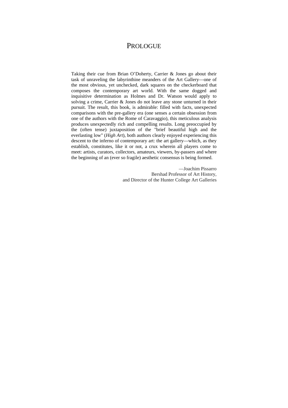## PROLOGUE

Taking their cue from Brian O'Doherty, Carrier & Jones go about their task of unraveling the labyrinthine meanders of the Art Gallery—one of the most obvious, yet unchecked, dark squares on the checkerboard that composes the contemporary art world. With the same dogged and inquisitive determination as Holmes and Dr. Watson would apply to solving a crime, Carrier & Jones do not leave any stone unturned in their pursuit. The result, this book, is admirable: filled with facts, unexpected comparisons with the pre-gallery era (one senses a certain obsession from one of the authors with the Rome of Caravaggio), this meticulous analysis produces unexpectedly rich and compelling results. Long preoccupied by the (often tense) juxtaposition of the "brief beautiful high and the everlasting low" (*High Art*), both authors clearly enjoyed experiencing this descent to the inferno of contemporary art: the art gallery—which, as they establish, constitutes, like it or not, a crux wherein all players come to meet: artists, curators, collectors, amateurs, viewers, by-passers and where the beginning of an (ever so fragile) aesthetic consensus is being formed.

> —Joachim Pissarro Bershad Professor of Art History, and Director of the Hunter College Art Galleries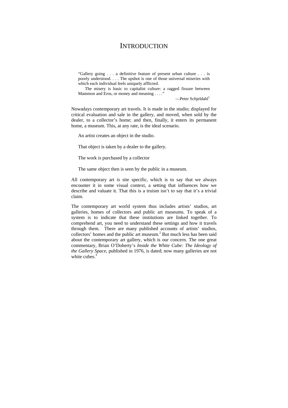## **INTRODUCTION**

"Gallery going . . . a definitive feature of present urban culture . . . is poorly understood. . . . The upshot is one of those universal miseries with which each individual feels uniquely afflicted.

The misery is basic to capitalist culture: a ragged fissure between Mammon and Eros, or money and meaning . . . ."

 $-$ Peter Schjeldahl $<sup>1</sup>$ </sup>

Nowadays contemporary art travels. It is made in the studio; displayed for critical evaluation and sale in the gallery, and moved, when sold by the dealer, to a collector's home; and then, finally, it enters its permanent home, a museum. This, at any rate, is the ideal scenario.

An artist creates an object in the studio.

That object is taken by a dealer to the gallery.

The work is purchased by a collector

The same object then is seen by the public in a museum.

All contemporary art *is* site specific, which is to say that we always encounter it in some visual context, a setting that influences how we describe and valuate it. That this is a truism isn't to say that it's a trivial claim.

The contemporary art world system thus includes artists' studios, art galleries, homes of collectors and public art museums. To speak of a system is to indicate that these institutions are linked together. To comprehend art, you need to understand these settings and how it travels through them. There are many published accounts of artists' studios, collectors' homes and the public art museum.<sup>2</sup> But much less has been said about the contemporary art gallery, which is our concern. The one great commentary, Brian O'Doherty's *Inside the White Cube: The Ideology of the Gallery Space*, published in 1976, is dated; now many galleries are not white cubes  $3$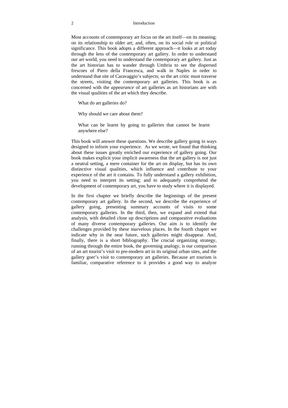Most accounts of contemporary art focus on the art itself—on its meaning; on its relationship to older art; and, often, on its social role or political significance. This book adopts a different approach—it looks at art today through the lens of the contemporary art gallery. In order to understand our art world, you need to understand the contemporary art gallery. Just as the art historian has to wander through Umbria to see the dispersed frescoes of Piero della Francesca, and walk in Naples in order to understand that site of Caravaggio's subjects; so the art critic must traverse the streets, visiting the contemporary art galleries. This book is as concerned with the *appearance* of art galleries as art historians are with the visual qualities of the art which they describe.

What do art galleries do?

Why should we care about them?

What can be learnt by going to galleries that cannot be learnt anywhere else?

This book will answer these questions. We describe gallery going in ways designed to inform your experience. As we wrote, we found that thinking about these issues greatly enriched our experience of gallery going. Our book makes explicit your implicit awareness that the art gallery is not just a neutral setting, a mere container for the art on display, but has its own distinctive visual qualities, which influence and contribute to your experience of the art it contains. To fully understand a gallery exhibition, you need to interpret its setting; and to adequately comprehend the development of contemporary art, you have to study where it is displayed.

In the first chapter we briefly describe the beginnings of the present contemporary art gallery. In the second, we describe the experience of gallery going, presenting summary accounts of visits to some contemporary galleries. In the third, then, we expand and extend that analysis, with detailed close up descriptions and comparative evaluations of many diverse contemporary galleries. Our aim is to identify the challenges provided by these marvelous places. In the fourth chapter we indicate why in the near future, such galleries might disappear. And, finally, there is a short bibliography. The crucial organizing strategy, running through the entire book, the governing analogy, is our comparison of an art tourist's visit to pre-modern art in its original urban sites, and the gallery goer's visit to contemporary art galleries. Because art tourism is familiar, comparative reference to it provides a good way to analyze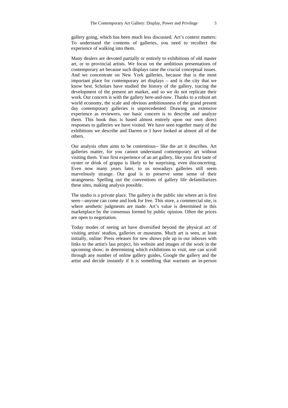gallery going, which has been much less discussed. Art's context matters: To understand the contents of galleries, you need to recollect the experience of walking into them.

Many dealers are devoted partially or entirely to exhibitions of old master art, or to provincial artists. We focus on the ambitious presentations of contemporary art because such displays raise the crucial conceptual issues. And we concentrate on New York galleries, because that is the most important place for contemporary art displays – and is the city that we know best. Scholars have studied the history of the gallery, tracing the development of the present art market, and so we do not replicate their work. Our concern is with the gallery here-and-now. Thanks to a robust art world economy, the scale and obvious ambitiousness of the grand present day contemporary galleries is unprecedented. Drawing on extensive experience as reviewers, our basic concern is to describe and analyze them. This book thus is based almost entirely upon our own direct responses to galleries we have visited. We have seen together many of the exhibitions we describe and Darren or I have looked at almost all of the others.

Our analysis often aims to be contentious-- like the art it describes. Art galleries matter, for you cannot understand contemporary art without visiting them. Your first experience of an art gallery, like your first taste of oyster or drink of grappa is likely to be surprising, even disconcerting. Even now many years later, to us nowadays galleries still seem marvelously strange. Our goal is to preserve some sense of their strangeness. Spelling out the conventions of gallery life defamiliarizes these sites, making analysis possible.

The studio is a private place. The gallery is the public site where art is first seen—anyone can come and look for free. This store, a commercial site, is where aesthetic judgments are made. Art's value is determined in this marketplace by the consensus formed by public opinion. Often the prices are open to negotiation.

Today modes of seeing art have diversified beyond the physical act of visiting artists' studios, galleries or museums. Much art is seen, at least initially, online: Press releases for new shows pile up in our inboxes with links to the artist's last project, his website and images of the work in the upcoming show; in determining which exhibitions to visit, one can scroll through any number of online gallery guides, Google the gallery and the artist and decide instantly if it is something that warrants an in-person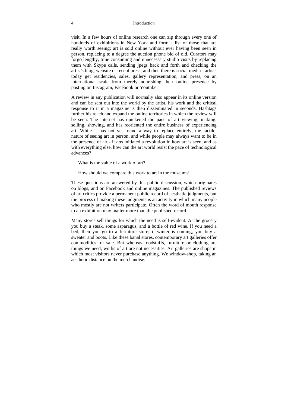#### 4 Introduction

visit. In a few hours of online research one can zip through every one of hundreds of exhibitions in New York and form a list of those that are really worth seeing: art is sold online without ever having been seen in person, replacing to a degree the auction phone bid of old. Curators may forgo lengthy, time consuming and unnecessary studio visits by replacing them with Skype calls, sending jpegs back and forth and checking the artist's blog, website or recent press; and then there is social media - artists today get residencies, sales, gallery representation, and press, on an international scale from merely nourishing their online presence by posting on Instagram, Facebook or Youtube.

A review in any publication will normally also appear in its online version and can be sent out into the world by the artist, his work and the critical response to it in a magazine is then disseminated in seconds. Hashtags further his reach and expand the online territories in which the review will be seen. The internet has quickened the pace of art viewing, making, selling, showing, and has reoriented the entire business of experiencing art. While it has not yet found a way to replace entirely, the tactile, nature of seeing art in person, and while people may always want to be in the presence of art - it *has* initiated a revolution in how art is seen, and as with everything else, how can the art world resist the pace of technological advances?

What is the value of a work of art?

How should we compare this work to art in the museum?

These questions are answered by this public discussion, which originates on blogs, and on Facebook and online magazines. The published reviews of art critics provide a permanent public record of aesthetic judgments, but the process of making these judgments is an activity in which many people who mostly are not writers participate. Often the word of mouth response to an exhibition may matter more than the published record.

Many stores sell things for which the need is self-evident. At the grocery you buy a steak, some asparagus, and a bottle of red wine. If you need a bed, then you go to a furniture store; if winter is coming, you buy a sweater and boots. Like these banal stores, contemporary art galleries offer commodities for sale. But whereas foodstuffs, furniture or clothing are things we need, works of art are not necessities. Art galleries are shops in which most visitors never purchase anything. We window-shop, taking an aesthetic distance on the merchandise.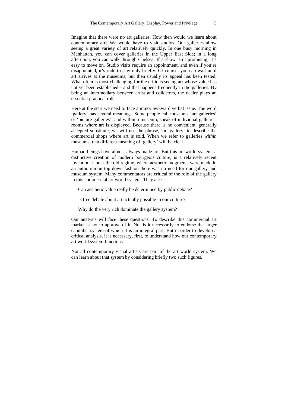Imagine that there were no art galleries. How then would we learn about contemporary art? We would have to visit studios. Our galleries allow seeing a great variety of art relatively quickly. In one busy morning in Manhattan, you can cover galleries in the Upper East Side; in a long afternoon, you can walk through Chelsea. If a show isn't promising, it's easy to move on. Studio visits require an appointment, and even if you're disappointed, it's rude to stay only briefly. Of course, you can wait until art arrives at the museums, but then usually its appeal has been tested. What often is most challenging for the critic is seeing art whose value has not yet been established—and that happens frequently in the galleries. By being an intermediary between artist and collectors, the dealer plays an essential practical role.

Here at the start we need to face a minor awkward verbal issue. The word 'gallery' has several meanings. Some people call museums 'art galleries' or 'picture galleries'; and within a museum, speak of individual galleries, rooms where art is displayed. Because there is no convenient, generally accepted substitute, we will use the phrase, 'art gallery' to describe the commercial shops where art is sold. When we refer to galleries *within* museums, that different meaning of 'gallery' will be clear.

Human beings have almost always made art. But this art world system, a distinctive creation of modern bourgeois culture, is a relatively recent invention. Under the old regime, where aesthetic judgments were made in an authoritarian top-down fashion there was no need for our gallery and museum system. Many commentators are critical of the role of the gallery in this commercial art world system. They ask:

Can aesthetic value really be determined by public debate?

Is free debate about art actually possible in our culture?

Why do the very rich dominate the gallery system?

Our analysis will face these questions. To describe this commercial art market is not to approve of it. Nor is it necessarily to endorse the larger capitalist system of which it is an integral part. But in order to develop a critical analysis, it is necessary, first, to understand how our contemporary art world system functions.

Not all contemporary visual artists are part of the art world system. We can learn about that system by considering briefly two such figures.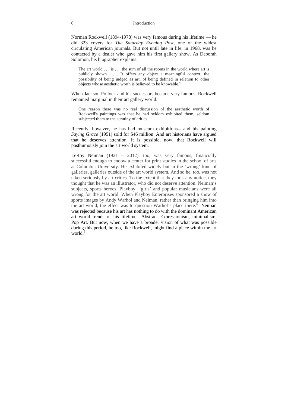#### 6 Introduction

Norman Rockwell (1894-1978) was very famous during his lifetime — he did 323 covers for *The Saturday Evening Post*, one of the widest circulating American journals. But not until late in life, in 1968, was he contacted by a dealer who gave him his first gallery show. As Deborah Solomon, his biographer explains:

The art world  $\dots$  is  $\dots$  the sum of all the rooms in the world where art is publicly shown . . . It offers any object a meaningful context, the possibility of being judged as art, of being defined in relation to other objects whose aesthetic worth is believed to be knowable.<sup>4</sup>

When Jackson Pollock and his successors became very famous, Rockwell remained marginal in their art gallery world.

One reason there was no real discussion of the aesthetic worth of Rockwell's paintings was that he had seldom exhibited them, seldom subjected them to the scrutiny of critics.

Recently, however, he has had museum exhibitions-- and his painting *Saying Grace* (1951) sold for \$46 million. And art historians have argued that he deserves attention. It is possible, now, that Rockwell will posthumously join the art world system.

LeRoy Neiman (1921 – 2012), too, was very famous, financially successful enough to endow a center for print studies in the school of arts at Columbia University. He exhibited widely but in the 'wrong' kind of galleries, galleries outside of the art world system. And so he, too, was not taken seriously by art critics. To the extent that they took any notice, they thought that he was an illustrator, who did not deserve attention. Neiman's subjects, sports heroes, Playboy 'girls' and popular musicians were all wrong for the art world. When Playboy Enterprises sponsored a show of sports images by Andy Warhol and Neiman, rather than bringing him into the art world, the effect was to question Warhol's place there.<sup>5</sup> Neiman was rejected because his art has nothing to do with the dominant American art world trends of his lifetime—Abstract Expressionism, minimalism, Pop Art. But now, when we have a broader vision of what was possible during this period, he too, like Rockwell, might find a place within the art world.<sup>6</sup>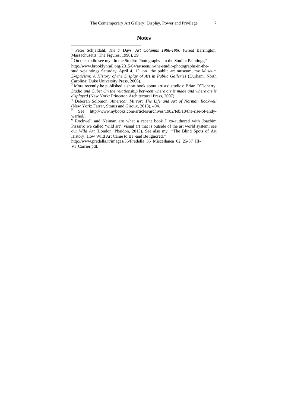#### **Notes**

 $2^2$  On the studio see my "In the Studio: Photographs In the Studio: Paintings," http://www.brooklynrail.org/2015/04/artseen/in-the-studio-photographs-in-the-

 $\overline{a}$ 

studio-paintings Saturday, April 4, 15; on the public art museum, my *Museum Skepticism: A History of the Display of Art in Public Galleries* (Durham, North Carolina: Duke University Press, 2006).

<sup>3</sup> More recently he published a short book about artists' studios: Brian O'Doherty, *Studio and Cube: On the relationship between where art is made and where art is displayed* (New York: Princeton Architectural Press, 2007).

 Deborah Solomon, *American Mirror: The Life and Art of Norman Rockwell*  (New York: Farrar, Straus and Giroux, 2013), 404.

5 See http://www.nybooks.com/articles/archives/1982/feb/18/the-rise-of-andywarhol/.

6 Rockwell and Neiman are what a recent book I co-authored with Joachim Pissarro we called 'wild art', visual art that is outside of the art world system; see our *Wild Art* (London: Phaidon, 2013). See also my "The Blind Spots of Art History: How Wild Art Came to Be -and Be Ignored,"

http://www.predella.it/images/35/Predella\_35\_Miscellanea\_02\_25-37\_III-VI\_Carrier.pdf.

<sup>1</sup> Peter Schjeldahl, *The 7 Days. Art Columns 1988-1990* (Great Barrington, Massachusetts: The Figures, 1990), 39.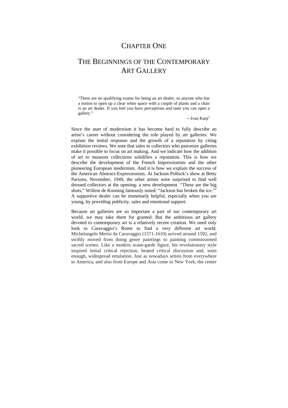## CHAPTER ONE

## THE BEGINNINGS OF THE CONTEMPORARY ART GALLERY

"There are no qualifying exams for being an art dealer, so anyone who has a notion to open up a clear white space with a couple of plants and a chair is an art dealer. If you feel you have perceptions and taste you can open a gallery."

—Ivan  $Karp<sup>1</sup>$ 

Since the start of modernism it has become hard to fully describe an artist's career without considering the role played by art galleries. We explain the initial response and the growth of a reputation by citing exhibition reviews. We note that sales to collectors who patronize galleries make it possible to focus on art making. And we indicate how the addition of art to museum collections solidifies a reputation. This is how we describe the development of the French Impressionists and the other pioneering European modernists. And it is how we explain the success of the American Abstract-Expressionists. At Jackson Pollock's show at Betty Parsons, November, 1949, the other artists were surprised to find well dressed collectors at the opening: a new development. "These are the big shots," Willem de Kooning famously noted: "Jackson has broken the ice."<sup>2</sup> A supportive dealer can be immensely helpful, especially when you are young, by providing publicity, sales and emotional support.

Because art galleries are so important a part of our contemporary art world, we may take them for granted. But the ambitious art gallery devoted to contemporary art is a relatively recent creation. We need only look to Caravaggio's Rome to find a very different art world. Michelangelo Merisi da Caravaggio (1571-1610) arrived around 1592, and swiftly moved from doing genre paintings to painting commissioned sacred scenes. Like a modern avant-garde figure, his revolutionary style inspired initial critical rejection, heated critical discussion and, soon enough, widespread emulation. Just as nowadays artists from everywhere in America, and also from Europe and Asia come to New York, the center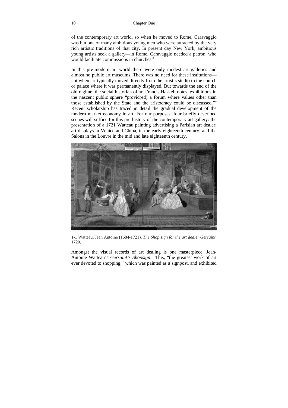of the contemporary art world, so when he moved to Rome, Caravaggio was but one of many ambitious young men who were attracted by the very rich artistic traditions of that city. In present day New York, ambitious young artists seek a gallery—in Rome, Caravaggio needed a patron, who would facilitate commissions in churches.<sup>3</sup>

In this pre-modern art world there were only modest art galleries and almost no public art museums. There was no need for these institutions not when art typically moved directly from the artist's studio to the church or palace where it was permanently displayed. But towards the end of the old regime, the social historian of art Francis Haskell notes, exhibitions in the nascent public sphere "provid(ed) a forum where values other than those established by the State and the aristocracy could be discussed."<sup>4</sup> Recent scholarship has traced in detail the gradual development of the modern market economy in art. For our purposes, four briefly described scenes will suffice for this pre-history of the contemporary art gallery: the presentation of a 1721 Watteau painting advertising a Parisian art dealer; art displays in Venice and China, in the early eighteenth century; and the Salons in the Louvre in the mid and late eighteenth century.



1-1 Watteau, Jean Antoine (1684-1721). *The Shop sign for the art dealer Gersaint*. 1720.

Amongst the visual records of art dealing is one masterpiece, Jean-Antoine Watteau's *Gersaint's Shopsign*. This, "the greatest work of art ever devoted to shopping," which was painted as a signpost, and exhibited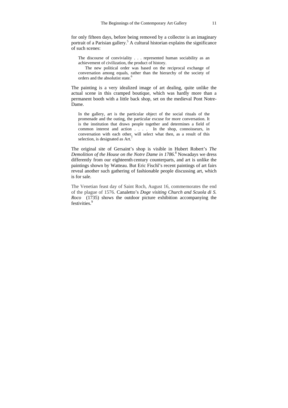for only fifteen days, before being removed by a collector is an imaginary portrait of a Parisian gallery.<sup>5</sup> A cultural historian explains the significance of such scenes:

The discourse of conviviality . . . represented human sociability as an achievement of civilization, the product of history.

The new political order was based on the reciprocal exchange of conversation among equals, rather than the hierarchy of the society of orders and the absolutist state.<sup>6</sup>

The painting is a very idealized image of art dealing, quite unlike the actual scene in this cramped boutique, which was hardly more than a permanent booth with a little back shop, set on the medieval Pont Notre-Dame.

In the gallery, art is the particular object of the social rituals of the promenade and the outing, the particular excuse for more conversation. It is the institution that draws people together and determines a field of common interest and action . . . . In the shop, connoisseurs, in conversation with each other, will select what then, as a result of this selection, is designated as Art.<sup>7</sup>

The original site of Gersaint's shop is visible in Hubert Robert's *The Demolition of the House on the Notre Dame in 1786*. 8 Nowadays we dress differently from our eighteenth century counterparts, and art is unlike the paintings shown by Watteau. But Eric Fischl's recent paintings of art fairs reveal another such gathering of fashionable people discussing art, which is for sale.

The Venetian feast day of Saint Roch, August 16, commemorates the end of the plague of 1576. Canaletto's *Doge visiting Church and Scuola di S. Roco* (1735) shows the outdoor picture exhibition accompanying the festivities.<sup>9</sup>